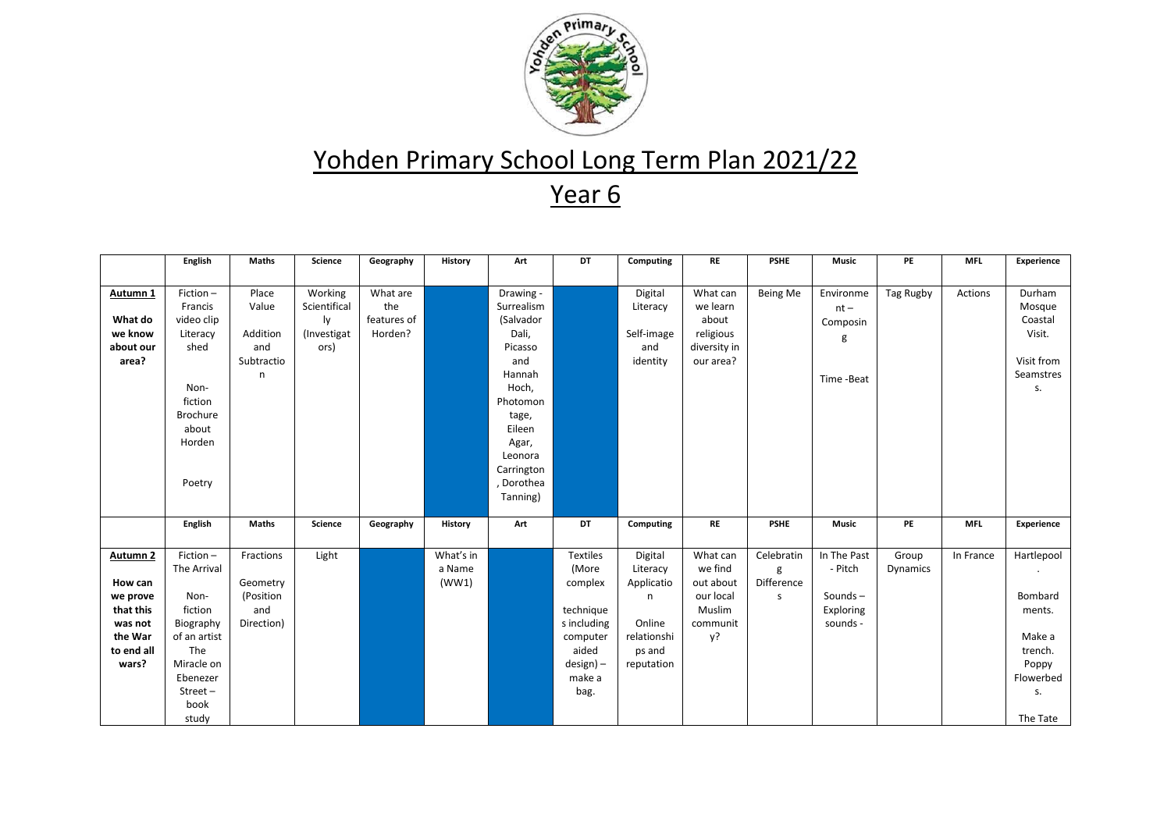

| Autumn 1<br>What do<br>we know<br>about our<br>area?                                                 | Fiction-<br>Place<br>Francis<br>Value<br>video clip<br>Addition<br>Literacy                                                                                                                        | Working<br>Scientifical<br>ly | What are<br>the        |                              |                                                                                                                                                                   |                                                                                                                     |                                                                                         |                                                                           |                                    |                                                               |                   |            |                                                                                              |
|------------------------------------------------------------------------------------------------------|----------------------------------------------------------------------------------------------------------------------------------------------------------------------------------------------------|-------------------------------|------------------------|------------------------------|-------------------------------------------------------------------------------------------------------------------------------------------------------------------|---------------------------------------------------------------------------------------------------------------------|-----------------------------------------------------------------------------------------|---------------------------------------------------------------------------|------------------------------------|---------------------------------------------------------------|-------------------|------------|----------------------------------------------------------------------------------------------|
|                                                                                                      |                                                                                                                                                                                                    |                               |                        |                              |                                                                                                                                                                   |                                                                                                                     |                                                                                         |                                                                           |                                    |                                                               |                   |            |                                                                                              |
|                                                                                                      | shed<br>and<br>Subtractio<br>n<br>Non-<br>fiction<br><b>Brochure</b><br>about<br>Horden<br>Poetry                                                                                                  | (Investigat<br>ors)           | features of<br>Horden? |                              | Drawing -<br>Surrealism<br>(Salvador<br>Dali,<br>Picasso<br>and<br>Hannah<br>Hoch,<br>Photomon<br>tage,<br>Eileen<br>Agar,<br>Leonora<br>Carrington<br>, Dorothea |                                                                                                                     | Digital<br>Literacy<br>Self-image<br>and<br>identity                                    | What can<br>we learn<br>about<br>religious<br>diversity in<br>our area?   | Being Me                           | Environme<br>$nt -$<br>Composin<br>g<br>Time-Beat             | Tag Rugby         | Actions    | Durham<br>Mosque<br>Coastal<br>Visit.<br>Visit from<br>Seamstres<br>S.                       |
|                                                                                                      |                                                                                                                                                                                                    |                               |                        |                              | Tanning)                                                                                                                                                          |                                                                                                                     |                                                                                         |                                                                           |                                    |                                                               |                   |            |                                                                                              |
|                                                                                                      | English<br><b>Maths</b>                                                                                                                                                                            | Science                       | Geography              | History                      | Art                                                                                                                                                               | DT                                                                                                                  | Computing                                                                               | RE                                                                        | <b>PSHE</b>                        | <b>Music</b>                                                  | PE                | <b>MFL</b> | Experience                                                                                   |
| Autumn <sub>2</sub><br>How can<br>we prove<br>that this<br>was not<br>the War<br>to end all<br>wars? | Fiction-<br>Fractions<br>The Arrival<br>Geometry<br>Non-<br>(Position<br>fiction<br>and<br>Direction)<br>Biography<br>of an artist<br>The<br>Miracle on<br>Ebenezer<br>$Street -$<br>book<br>study | Light                         |                        | What's in<br>a Name<br>(WW1) |                                                                                                                                                                   | <b>Textiles</b><br>(More<br>complex<br>technique<br>s including<br>computer<br>aided<br>design) -<br>make a<br>bag. | Digital<br>Literacy<br>Applicatio<br>n<br>Online<br>relationshi<br>ps and<br>reputation | What can<br>we find<br>out about<br>our local<br>Muslim<br>communit<br>y? | Celebratin<br>g<br>Difference<br>S | In The Past<br>- Pitch<br>Sounds $-$<br>Exploring<br>sounds - | Group<br>Dynamics | In France  | Hartlepool<br>Bombard<br>ments.<br>Make a<br>trench.<br>Poppy<br>Flowerbed<br>S.<br>The Tate |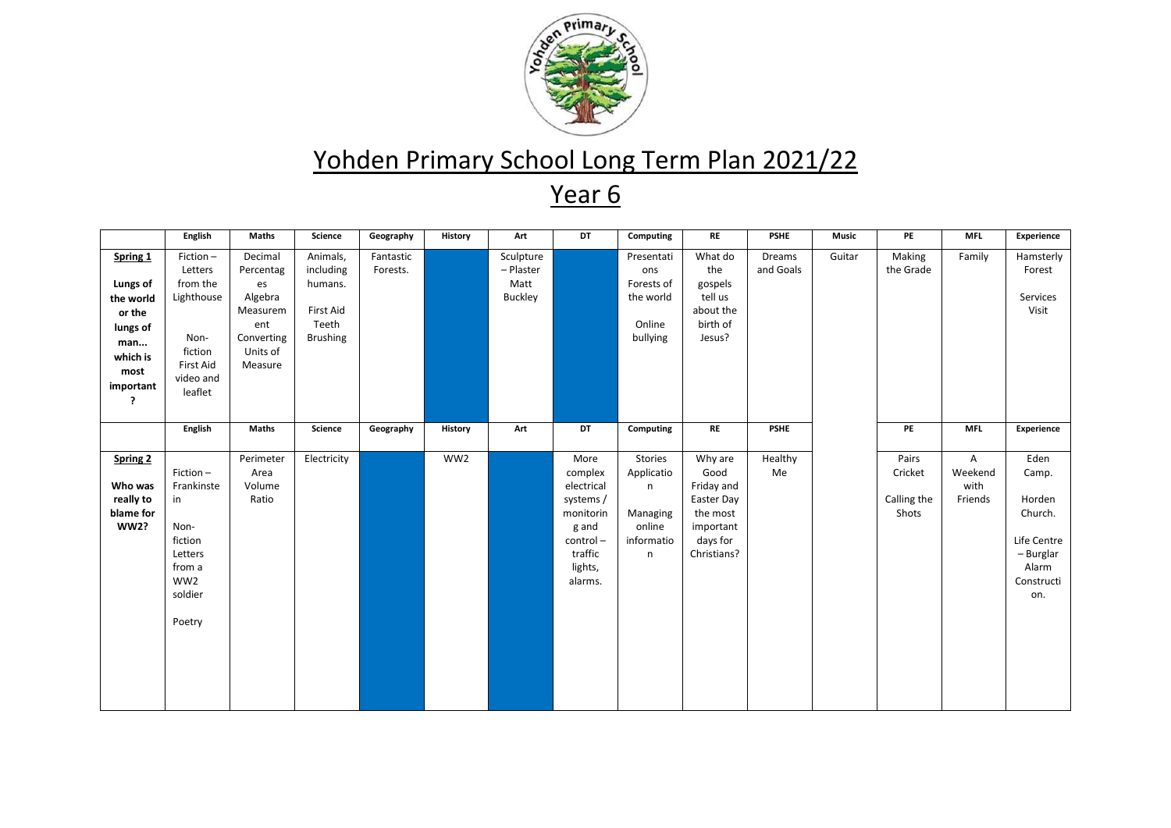

|                                                                                                      | English                                                                                                      | <b>Maths</b>                                                                                  | Science                                                                   | Geography             | History | Art                                              | DT                                                                                                            | Computing                                                           | RE                                                                                              | <b>PSHE</b>         | Music  | PE                                       | <b>MFL</b>                      | Experience                                                                                   |
|------------------------------------------------------------------------------------------------------|--------------------------------------------------------------------------------------------------------------|-----------------------------------------------------------------------------------------------|---------------------------------------------------------------------------|-----------------------|---------|--------------------------------------------------|---------------------------------------------------------------------------------------------------------------|---------------------------------------------------------------------|-------------------------------------------------------------------------------------------------|---------------------|--------|------------------------------------------|---------------------------------|----------------------------------------------------------------------------------------------|
| Spring 1<br>Lungs of<br>the world<br>or the<br>lungs of<br>man<br>which is<br>most<br>important<br>? | Fiction-<br>Letters<br>from the<br>Lighthouse<br>Non-<br>fiction<br><b>First Aid</b><br>video and<br>leaflet | Decimal<br>Percentag<br>es<br>Algebra<br>Measurem<br>ent<br>Converting<br>Units of<br>Measure | Animals,<br>including<br>humans.<br>First Aid<br>Teeth<br><b>Brushing</b> | Fantastic<br>Forests. |         | Sculpture<br>- Plaster<br>Matt<br><b>Buckley</b> |                                                                                                               | Presentati<br>ons<br>Forests of<br>the world<br>Online<br>bullying  | What do<br>the<br>gospels<br>tell us<br>about the<br>birth of<br>Jesus?                         | Dreams<br>and Goals | Guitar | Making<br>the Grade                      | Family                          | Hamsterly<br>Forest<br>Services<br>Visit                                                     |
|                                                                                                      | English                                                                                                      | Maths                                                                                         | Science                                                                   | Geography             | History | Art                                              | DT                                                                                                            | Computing                                                           | <b>RE</b>                                                                                       | <b>PSHE</b>         |        | PE                                       | <b>MFL</b>                      | Experience                                                                                   |
| <b>Spring 2</b><br>Who was<br>really to<br>blame for<br><b>WW2?</b>                                  | Fiction-<br>Frankinste<br>in<br>Non-<br>fiction<br>Letters<br>from a<br>WW2<br>soldier<br>Poetry             | Perimeter<br>Area<br>Volume<br>Ratio                                                          | Electricity                                                               |                       | WW2     |                                                  | More<br>complex<br>electrical<br>systems /<br>monitorin<br>g and<br>control-<br>traffic<br>lights,<br>alarms. | Stories<br>Applicatio<br>n<br>Managing<br>online<br>informatio<br>n | Why are<br>Good<br>Friday and<br>Easter Day<br>the most<br>important<br>days for<br>Christians? | Healthy<br>Me       |        | Pairs<br>Cricket<br>Calling the<br>Shots | A<br>Weekend<br>with<br>Friends | Eden<br>Camp.<br>Horden<br>Church.<br>Life Centre<br>- Burglar<br>Alarm<br>Constructi<br>on. |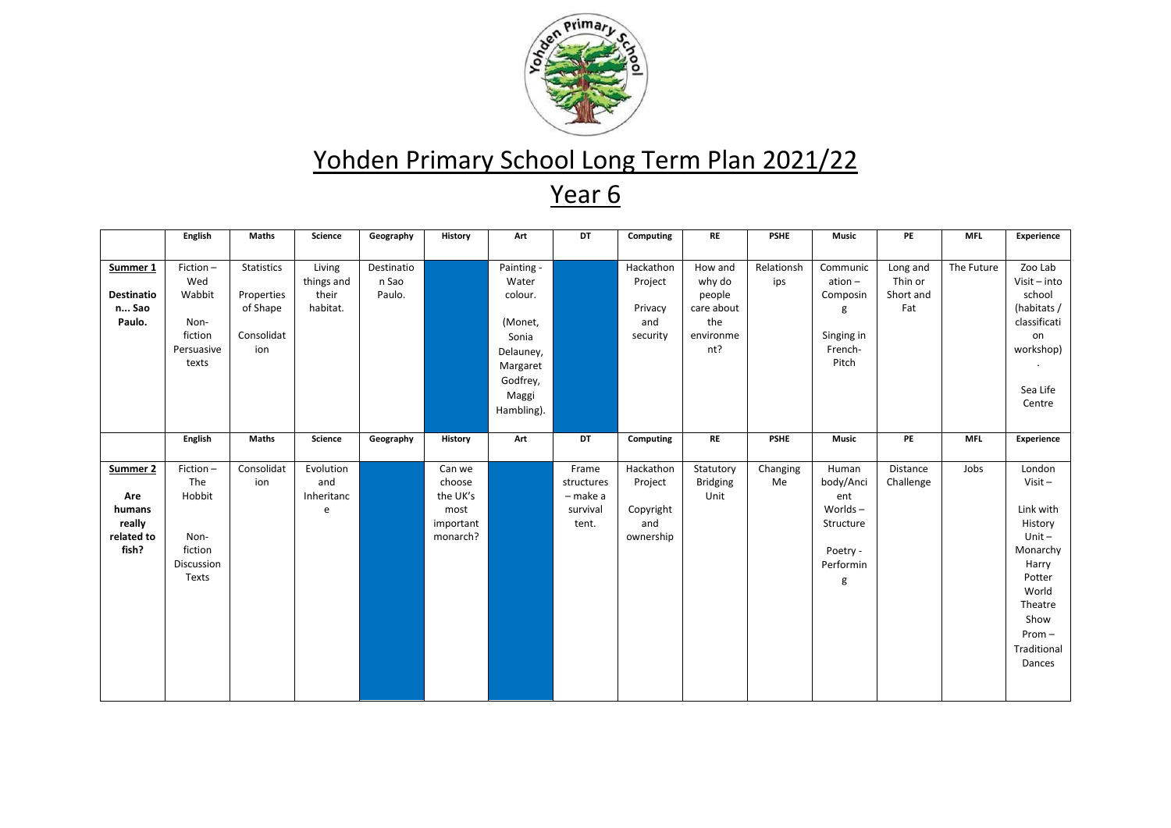

|                   | <b>English</b> | Maths        | Science    | Geography  | <b>History</b> | Art        | DT         | Computing | <b>RE</b>       | <b>PSHE</b> | Music        | PE        | <b>MFL</b> | Experience     |
|-------------------|----------------|--------------|------------|------------|----------------|------------|------------|-----------|-----------------|-------------|--------------|-----------|------------|----------------|
|                   |                |              |            |            |                |            |            |           |                 |             |              |           |            |                |
| Summer 1          | Fiction-       | Statistics   | Living     | Destinatio |                | Painting - |            | Hackathon | How and         | Relationsh  | Communic     | Long and  | The Future | Zoo Lab        |
|                   | Wed            |              | things and | n Sao      |                | Water      |            | Project   | why do          | ips         | $ation -$    | Thin or   |            | $Visit - into$ |
| <b>Destinatio</b> | Wabbit         | Properties   | their      | Paulo.     |                | colour.    |            |           | people          |             | Composin     | Short and |            | school         |
| n Sao             |                | of Shape     | habitat.   |            |                |            |            | Privacy   | care about      |             | g            | Fat       |            | (habitats /    |
| Paulo.            | Non-           |              |            |            |                | (Monet,    |            | and       | the             |             |              |           |            | classificati   |
|                   | fiction        | Consolidat   |            |            |                | Sonia      |            | security  | environme       |             | Singing in   |           |            | on             |
|                   | Persuasive     | ion          |            |            |                | Delauney,  |            |           | nt?             |             | French-      |           |            | workshop)      |
|                   | texts          |              |            |            |                | Margaret   |            |           |                 |             | Pitch        |           |            |                |
|                   |                |              |            |            |                | Godfrey,   |            |           |                 |             |              |           |            |                |
|                   |                |              |            |            |                | Maggi      |            |           |                 |             |              |           |            | Sea Life       |
|                   |                |              |            |            |                | Hambling). |            |           |                 |             |              |           |            | Centre         |
|                   |                |              |            |            |                |            |            |           |                 |             |              |           |            |                |
|                   | English        | <b>Maths</b> | Science    | Geography  | <b>History</b> | Art        | DT         | Computing | RE              | <b>PSHE</b> | <b>Music</b> | PE        | <b>MFL</b> | Experience     |
|                   |                |              |            |            |                |            |            |           |                 |             |              |           |            |                |
| Summer 2          | Fiction-       | Consolidat   | Evolution  |            | Can we         |            | Frame      | Hackathon | Statutory       | Changing    | Human        | Distance  | Jobs       | London         |
|                   | The            | ion          | and        |            | choose         |            | structures | Project   | <b>Bridging</b> | Me          | body/Anci    | Challenge |            | $Visit -$      |
| Are               | Hobbit         |              | Inheritanc |            | the UK's       |            | - make a   |           | Unit            |             | ent          |           |            |                |
| humans            |                |              | e          |            | most           |            | survival   | Copyright |                 |             | Worlds $-$   |           |            | Link with      |
| really            |                |              |            |            | important      |            | tent.      | and       |                 |             | Structure    |           |            | History        |
| related to        | Non-           |              |            |            | monarch?       |            |            | ownership |                 |             |              |           |            | $Unit -$       |
| fish?             | fiction        |              |            |            |                |            |            |           |                 |             | Poetry -     |           |            | Monarchy       |
|                   | Discussion     |              |            |            |                |            |            |           |                 |             | Performin    |           |            | Harry          |
|                   | Texts          |              |            |            |                |            |            |           |                 |             | g            |           |            | Potter         |
|                   |                |              |            |            |                |            |            |           |                 |             |              |           |            | World          |
|                   |                |              |            |            |                |            |            |           |                 |             |              |           |            | Theatre        |
|                   |                |              |            |            |                |            |            |           |                 |             |              |           |            | Show           |
|                   |                |              |            |            |                |            |            |           |                 |             |              |           |            | $Prom -$       |
|                   |                |              |            |            |                |            |            |           |                 |             |              |           |            | Traditional    |
|                   |                |              |            |            |                |            |            |           |                 |             |              |           |            | Dances         |
|                   |                |              |            |            |                |            |            |           |                 |             |              |           |            |                |
|                   |                |              |            |            |                |            |            |           |                 |             |              |           |            |                |